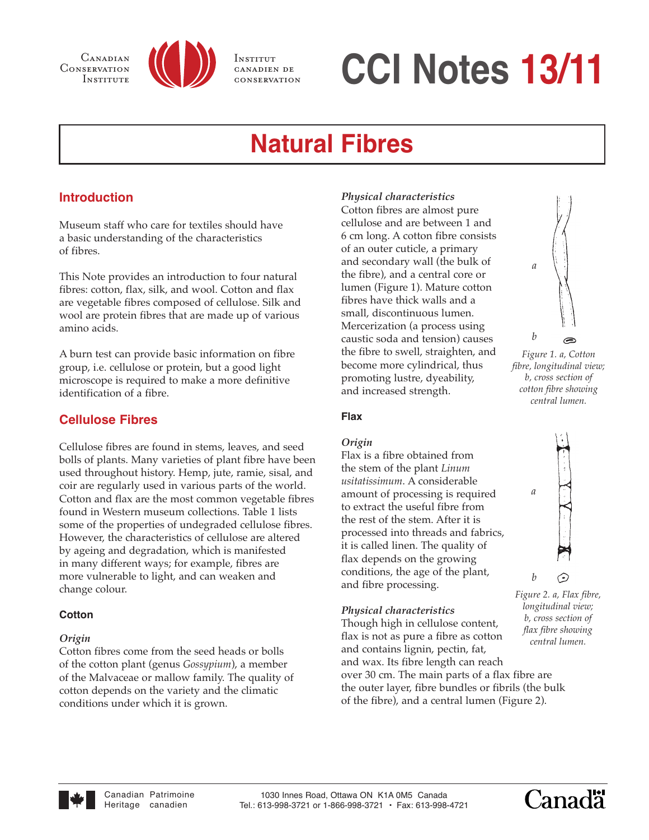

INSTITUT canadien de conservation

# CONSERVATION INSTITUTE **CCI Notes 13/11**

# **Natural Fibres**

# **Introduction**

Museum staff who care for textiles should have a basic understanding of the characteristics of fibres.

This Note provides an introduction to four natural fibres: cotton, flax, silk, and wool. Cotton and flax are vegetable fibres composed of cellulose. Silk and wool are protein fibres that are made up of various amino acids.

A burn test can provide basic information on fibre group, i.e. cellulose or protein, but a good light microscope is required to make a more definitive identification of a fibre.

# **Cellulose Fibres**

Cellulose fibres are found in stems, leaves, and seed bolls of plants. Many varieties of plant fibre have been used throughout history. Hemp, jute, ramie, sisal, and coir are regularly used in various parts of the world. Cotton and flax are the most common vegetable fibres found in Western museum collections. Table 1 lists some of the properties of undegraded cellulose fibres. However, the characteristics of cellulose are altered by ageing and degradation, which is manifested in many different ways; for example, fibres are more vulnerable to light, and can weaken and change colour.

# **Cotton**

#### *Origin*

Cotton fibres come from the seed heads or bolls of the cotton plant (genus *Gossypium*), a member of the Malvaceae or mallow family. The quality of cotton depends on the variety and the climatic conditions under which it is grown.

# *Physical characteristics*

Cotton fibres are almost pure cellulose and are between 1 and 6 cm long. A cotton fibre consists of an outer cuticle, a primary and secondary wall (the bulk of the fibre), and a central core or lumen (Figure 1). Mature cotton fibres have thick walls and a small, discontinuous lumen. Mercerization (a process using caustic soda and tension) causes the fibre to swell, straighten, and become more cylindrical, thus promoting lustre, dyeability, and increased strength.



*Figure 1. a, Cotton fibre, longitudinal view; b, cross section of cotton fibre showing central lumen.*

#### **Flax**

# *Origin*

Flax is a fibre obtained from the stem of the plant *Linum usitatissimum*. A considerable amount of processing is required to extract the useful fibre from the rest of the stem. After it is processed into threads and fabrics, it is called linen. The quality of flax depends on the growing conditions, the age of the plant, and fibre processing.

# *Physical characteristics*

Though high in cellulose content, flax is not as pure a fibre as cotton and contains lignin, pectin, fat, and wax. Its fibre length can reach over 30 cm. The main parts of a flax fibre are the outer layer, fibre bundles or fibrils (the bulk of the fibre), and a central lumen (Figure 2).



*Figure 2. a, Flax fibre, longitudinal view; b, cross section of flax fibre showing central lumen.*



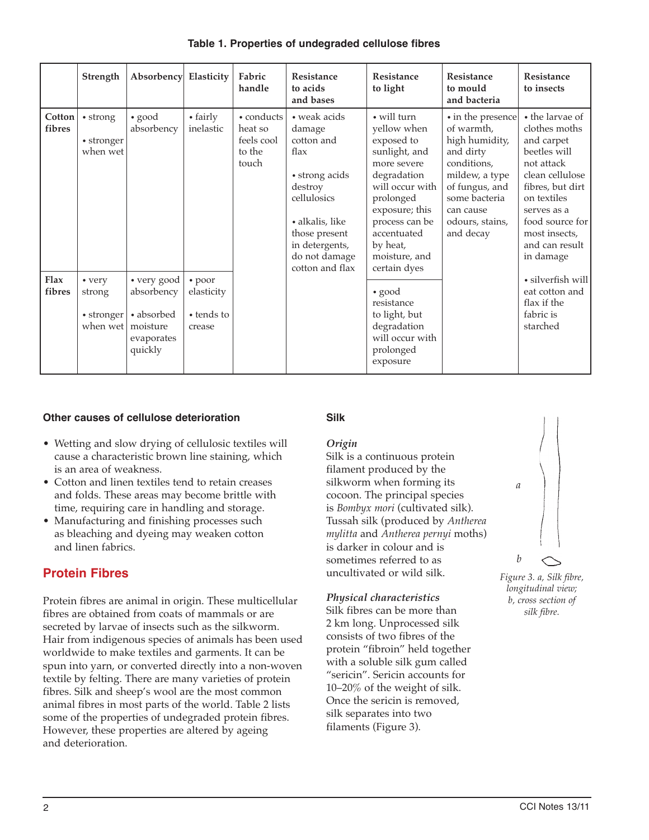|                  | Strength                                           | Absorbency Elasticity                                                        |                                              | Fabric<br>handle                                       | Resistance<br>to acids<br>and bases                                                                                                                             | Resistance<br>to light                                                                                                                                                                                  | Resistance<br>to mould<br>and bacteria                                                                                                                                          | Resistance<br>to insects                                                                                                                                                                                             |
|------------------|----------------------------------------------------|------------------------------------------------------------------------------|----------------------------------------------|--------------------------------------------------------|-----------------------------------------------------------------------------------------------------------------------------------------------------------------|---------------------------------------------------------------------------------------------------------------------------------------------------------------------------------------------------------|---------------------------------------------------------------------------------------------------------------------------------------------------------------------------------|----------------------------------------------------------------------------------------------------------------------------------------------------------------------------------------------------------------------|
| Cotton<br>fibres | • strong<br>• stronger<br>when wet                 | $\bullet$ good<br>absorbency                                                 | • fairly<br>inelastic                        | • conducts<br>heat so<br>feels cool<br>to the<br>touch | • weak acids<br>damage<br>cotton and<br>flax<br>• strong acids<br>destroy<br>cellulosics<br>· alkalis, like<br>those present<br>in detergents,<br>do not damage | • will turn<br>yellow when<br>exposed to<br>sunlight, and<br>more severe<br>degradation<br>will occur with<br>prolonged<br>exposure; this<br>process can be<br>accentuated<br>by heat,<br>moisture, and | • in the presence<br>of warmth,<br>high humidity,<br>and dirty<br>conditions,<br>mildew, a type<br>of fungus, and<br>some bacteria<br>can cause<br>odours, stains,<br>and decay | • the larvae of<br>clothes moths<br>and carpet<br>beetles will<br>not attack<br>clean cellulose<br>fibres, but dirt<br>on textiles<br>serves as a<br>food source for<br>most insects,<br>and can result<br>in damage |
| Flax<br>fibres   | • very<br>strong<br>$\bullet$ stronger<br>when wet | • very good<br>absorbency<br>• absorbed<br>moisture<br>evaporates<br>quickly | • poor<br>elasticity<br>• tends to<br>crease |                                                        | cotton and flax                                                                                                                                                 | certain dyes<br>$\bullet$ good<br>resistance<br>to light, but<br>degradation<br>will occur with<br>prolonged<br>exposure                                                                                |                                                                                                                                                                                 | · silverfish will<br>eat cotton and<br>flax if the<br>fabric is<br>starched                                                                                                                                          |

**Table 1. Properties of undegraded cellulose fibres**

#### **Other causes of cellulose deterioration**

- Wetting and slow drying of cellulosic textiles will cause a characteristic brown line staining, which is an area of weakness.
- Cotton and linen textiles tend to retain creases and folds. These areas may become brittle with time, requiring care in handling and storage.
- Manufacturing and finishing processes such as bleaching and dyeing may weaken cotton and linen fabrics.

# **Protein Fibres**

Protein fibres are animal in origin. These multicellular fibres are obtained from coats of mammals or are secreted by larvae of insects such as the silkworm. Hair from indigenous species of animals has been used worldwide to make textiles and garments. It can be spun into yarn, or converted directly into a non-woven textile by felting. There are many varieties of protein fibres. Silk and sheep's wool are the most common animal fibres in most parts of the world. Table 2 lists some of the properties of undegraded protein fibres. However, these properties are altered by ageing and deterioration.

#### **Silk**

#### *Origin*

Silk is a continuous protein filament produced by the silkworm when forming its cocoon. The principal species is *Bombyx mori* (cultivated silk). Tussah silk (produced by *Antherea mylitta* and *Antherea pernyi* moths) is darker in colour and is sometimes referred to as uncultivated or wild silk.

#### *Physical characteristics*

Silk fibres can be more than 2 km long. Unprocessed silk consists of two fibres of the protein "fibroin" held together with a soluble silk gum called "sericin". Sericin accounts for 10–20% of the weight of silk. Once the sericin is removed, silk separates into two filaments (Figure 3).



*Figure 3. a, Silk fibre, longitudinal view; b, cross section of silk fibre.*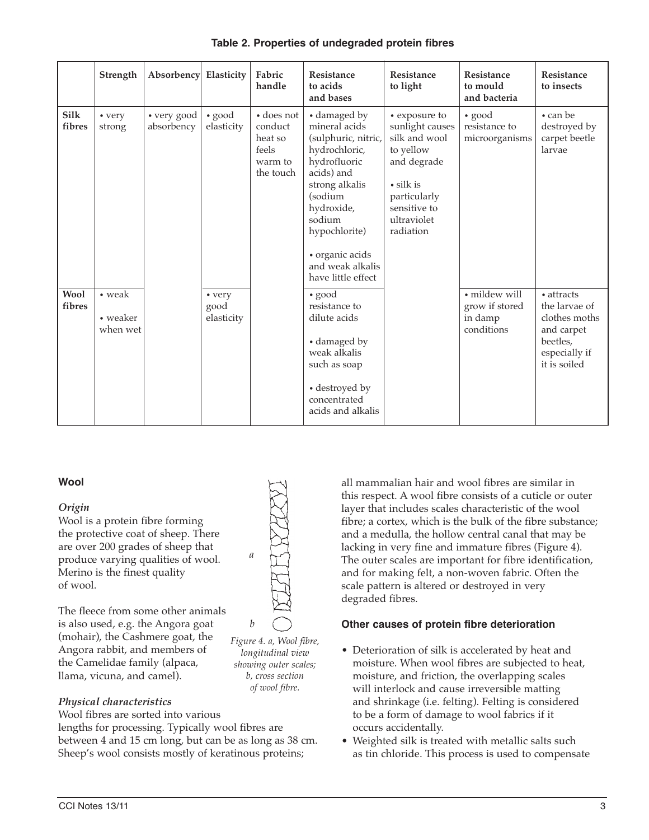|                       | Strength                       | <b>Absorbency</b>         | Elasticity                   | Fabric<br>handle                                                          | Resistance<br>to acids<br>and bases                                                                                                                                                                                                    | Resistance<br>to light                                                                                                                                       | <b>Resistance</b><br>to mould<br>and bacteria            | Resistance<br>to insects                                                                                |
|-----------------------|--------------------------------|---------------------------|------------------------------|---------------------------------------------------------------------------|----------------------------------------------------------------------------------------------------------------------------------------------------------------------------------------------------------------------------------------|--------------------------------------------------------------------------------------------------------------------------------------------------------------|----------------------------------------------------------|---------------------------------------------------------------------------------------------------------|
| <b>Silk</b><br>fibres | • very<br>strong               | • very good<br>absorbency | $\bullet$ good<br>elasticity | $\bullet$ does not<br>conduct<br>heat so<br>feels<br>warm to<br>the touch | • damaged by<br>mineral acids<br>(sulphuric, nitric,<br>hydrochloric,<br>hydrofluoric<br>acids) and<br>strong alkalis<br>(sodium<br>hydroxide,<br>sodium<br>hypochlorite)<br>· organic acids<br>and weak alkalis<br>have little effect | • exposure to<br>sunlight causes<br>silk and wool<br>to yellow<br>and degrade<br>$\cdot$ silk is<br>particularly<br>sensitive to<br>ultraviolet<br>radiation | $\bullet$ good<br>resistance to<br>microorganisms        | • can be<br>destroyed by<br>carpet beetle<br>larvae                                                     |
| <b>Wool</b><br>fibres | • weak<br>• weaker<br>when wet |                           | • very<br>good<br>elasticity |                                                                           | $\bullet$ good<br>resistance to<br>dilute acids<br>• damaged by<br>weak alkalis<br>such as soap<br>• destroyed by<br>concentrated<br>acids and alkalis                                                                                 |                                                                                                                                                              | · mildew will<br>grow if stored<br>in damp<br>conditions | • attracts<br>the larvae of<br>clothes moths<br>and carpet<br>beetles,<br>especially if<br>it is soiled |

#### **Table 2. Properties of undegraded protein fibres**

#### **Wool**

#### *Origin*

Wool is a protein fibre forming the protective coat of sheep. There are over 200 grades of sheep that produce varying qualities of wool. Merino is the finest quality of wool.

The fleece from some other animals is also used, e.g. the Angora goat (mohair), the Cashmere goat, the Angora rabbit, and members of the Camelidae family (alpaca, llama, vicuna, and camel).

# *Physical characteristics*

Wool fibres are sorted into various lengths for processing. Typically wool fibres are between 4 and 15 cm long, but can be as long as 38 cm. Sheep's wool consists mostly of keratinous proteins;

all mammalian hair and wool fibres are similar in this respect. A wool fibre consists of a cuticle or outer layer that includes scales characteristic of the wool fibre; a cortex, which is the bulk of the fibre substance; and a medulla, the hollow central canal that may be lacking in very fine and immature fibres (Figure 4). The outer scales are important for fibre identification, and for making felt, a non-woven fabric. Often the scale pattern is altered or destroyed in very degraded fibres.

# **Other causes of protein fibre deterioration**

- Deterioration of silk is accelerated by heat and moisture. When wool fibres are subjected to heat, moisture, and friction, the overlapping scales will interlock and cause irreversible matting and shrinkage (i.e. felting). Felting is considered to be a form of damage to wool fabrics if it occurs accidentally.
- Weighted silk is treated with metallic salts such as tin chloride. This process is used to compensate



*a*

*longitudinal view showing outer scales; b, cross section of wool fibre.*